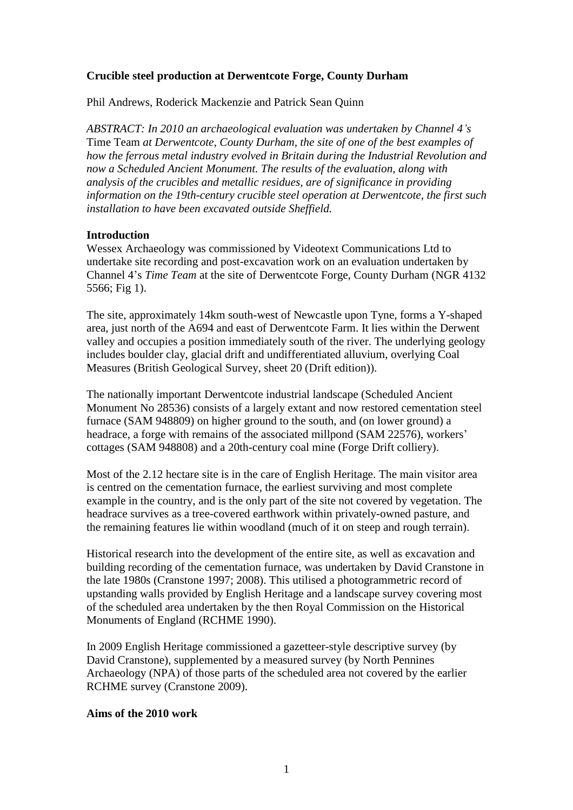# **Crucible steel production at Derwentcote Forge, County Durham**

Phil Andrews, Roderick Mackenzie and Patrick Sean Quinn

*ABSTRACT: In 2010 an archaeological evaluation was undertaken by Channel 4's* Time Team *at Derwentcote, County Durham, the site of one of the best examples of how the ferrous metal industry evolved in Britain during the Industrial Revolution and now a Scheduled Ancient Monument. The results of the evaluation, along with analysis of the crucibles and metallic residues, are of significance in providing information on the 19th-century crucible steel operation at Derwentcote, the first such installation to have been excavated outside Sheffield.*

### **Introduction**

Wessex Archaeology was commissioned by Videotext Communications Ltd to undertake site recording and post-excavation work on an evaluation undertaken by Channel 4's *Time Team* at the site of Derwentcote Forge, County Durham (NGR 4132 5566; Fig 1).

The site, approximately 14km south-west of Newcastle upon Tyne, forms a Y-shaped area, just north of the A694 and east of Derwentcote Farm. It lies within the Derwent valley and occupies a position immediately south of the river. The underlying geology includes boulder clay, glacial drift and undifferentiated alluvium, overlying Coal Measures (British Geological Survey, sheet 20 (Drift edition)).

The nationally important Derwentcote industrial landscape (Scheduled Ancient Monument No 28536) consists of a largely extant and now restored cementation steel furnace (SAM 948809) on higher ground to the south, and (on lower ground) a headrace, a forge with remains of the associated millpond (SAM 22576), workers' cottages (SAM 948808) and a 20th-century coal mine (Forge Drift colliery).

Most of the 2.12 hectare site is in the care of English Heritage. The main visitor area is centred on the cementation furnace, the earliest surviving and most complete example in the country, and is the only part of the site not covered by vegetation. The headrace survives as a tree-covered earthwork within privately-owned pasture, and the remaining features lie within woodland (much of it on steep and rough terrain).

Historical research into the development of the entire site, as well as excavation and building recording of the cementation furnace, was undertaken by David Cranstone in the late 1980s (Cranstone 1997; 2008). This utilised a photogrammetric record of upstanding walls provided by English Heritage and a landscape survey covering most of the scheduled area undertaken by the then Royal Commission on the Historical Monuments of England (RCHME 1990).

In 2009 English Heritage commissioned a gazetteer-style descriptive survey (by David Cranstone), supplemented by a measured survey (by North Pennines Archaeology (NPA) of those parts of the scheduled area not covered by the earlier RCHME survey (Cranstone 2009).

## **Aims of the 2010 work**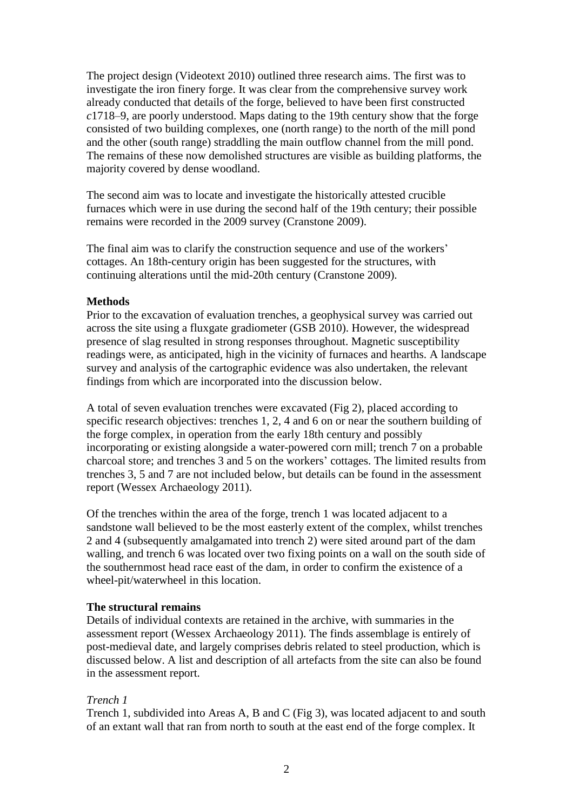The project design (Videotext 2010) outlined three research aims. The first was to investigate the iron finery forge. It was clear from the comprehensive survey work already conducted that details of the forge, believed to have been first constructed *c*1718–9, are poorly understood. Maps dating to the 19th century show that the forge consisted of two building complexes, one (north range) to the north of the mill pond and the other (south range) straddling the main outflow channel from the mill pond. The remains of these now demolished structures are visible as building platforms, the majority covered by dense woodland.

The second aim was to locate and investigate the historically attested crucible furnaces which were in use during the second half of the 19th century; their possible remains were recorded in the 2009 survey (Cranstone 2009).

The final aim was to clarify the construction sequence and use of the workers' cottages. An 18th-century origin has been suggested for the structures, with continuing alterations until the mid-20th century (Cranstone 2009).

## **Methods**

Prior to the excavation of evaluation trenches, a geophysical survey was carried out across the site using a fluxgate gradiometer (GSB 2010). However, the widespread presence of slag resulted in strong responses throughout. Magnetic susceptibility readings were, as anticipated, high in the vicinity of furnaces and hearths. A landscape survey and analysis of the cartographic evidence was also undertaken, the relevant findings from which are incorporated into the discussion below.

A total of seven evaluation trenches were excavated (Fig 2), placed according to specific research objectives: trenches 1, 2, 4 and 6 on or near the southern building of the forge complex, in operation from the early 18th century and possibly incorporating or existing alongside a water-powered corn mill; trench 7 on a probable charcoal store; and trenches 3 and 5 on the workers' cottages. The limited results from trenches 3, 5 and 7 are not included below, but details can be found in the assessment report (Wessex Archaeology 2011).

Of the trenches within the area of the forge, trench 1 was located adjacent to a sandstone wall believed to be the most easterly extent of the complex, whilst trenches 2 and 4 (subsequently amalgamated into trench 2) were sited around part of the dam walling, and trench 6 was located over two fixing points on a wall on the south side of the southernmost head race east of the dam, in order to confirm the existence of a wheel-pit/waterwheel in this location.

## **The structural remains**

Details of individual contexts are retained in the archive, with summaries in the assessment report (Wessex Archaeology 2011). The finds assemblage is entirely of post-medieval date, and largely comprises debris related to steel production, which is discussed below. A list and description of all artefacts from the site can also be found in the assessment report.

## *Trench 1*

Trench 1, subdivided into Areas A, B and C (Fig 3), was located adjacent to and south of an extant wall that ran from north to south at the east end of the forge complex. It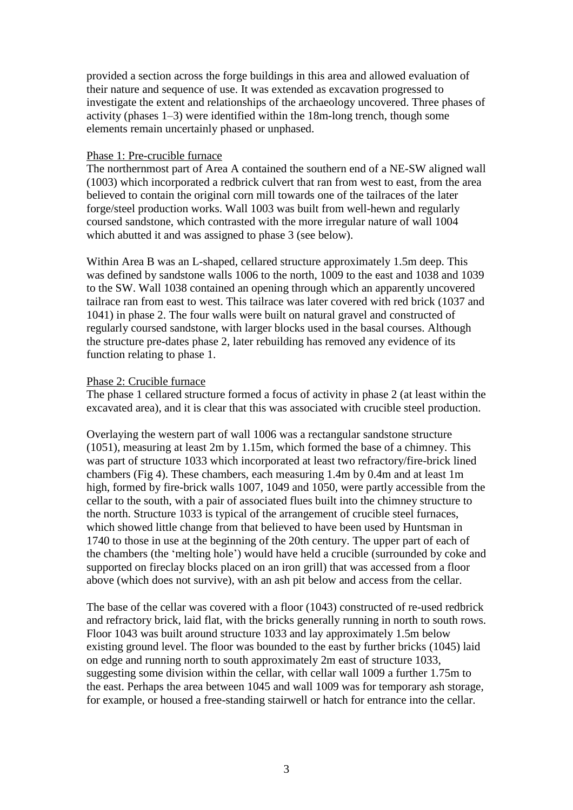provided a section across the forge buildings in this area and allowed evaluation of their nature and sequence of use. It was extended as excavation progressed to investigate the extent and relationships of the archaeology uncovered. Three phases of activity (phases 1–3) were identified within the 18m-long trench, though some elements remain uncertainly phased or unphased.

## Phase 1: Pre-crucible furnace

The northernmost part of Area A contained the southern end of a NE-SW aligned wall (1003) which incorporated a redbrick culvert that ran from west to east, from the area believed to contain the original corn mill towards one of the tailraces of the later forge/steel production works. Wall 1003 was built from well-hewn and regularly coursed sandstone, which contrasted with the more irregular nature of wall 1004 which abutted it and was assigned to phase 3 (see below).

Within Area B was an L-shaped, cellared structure approximately 1.5m deep. This was defined by sandstone walls 1006 to the north, 1009 to the east and 1038 and 1039 to the SW. Wall 1038 contained an opening through which an apparently uncovered tailrace ran from east to west. This tailrace was later covered with red brick (1037 and 1041) in phase 2. The four walls were built on natural gravel and constructed of regularly coursed sandstone, with larger blocks used in the basal courses. Although the structure pre-dates phase 2, later rebuilding has removed any evidence of its function relating to phase 1.

## Phase 2: Crucible furnace

The phase 1 cellared structure formed a focus of activity in phase 2 (at least within the excavated area), and it is clear that this was associated with crucible steel production.

Overlaying the western part of wall 1006 was a rectangular sandstone structure (1051), measuring at least 2m by 1.15m, which formed the base of a chimney. This was part of structure 1033 which incorporated at least two refractory/fire-brick lined chambers (Fig 4). These chambers, each measuring 1.4m by 0.4m and at least 1m high, formed by fire-brick walls 1007, 1049 and 1050, were partly accessible from the cellar to the south, with a pair of associated flues built into the chimney structure to the north. Structure 1033 is typical of the arrangement of crucible steel furnaces, which showed little change from that believed to have been used by Huntsman in 1740 to those in use at the beginning of the 20th century. The upper part of each of the chambers (the 'melting hole') would have held a crucible (surrounded by coke and supported on fireclay blocks placed on an iron grill) that was accessed from a floor above (which does not survive), with an ash pit below and access from the cellar.

The base of the cellar was covered with a floor (1043) constructed of re-used redbrick and refractory brick, laid flat, with the bricks generally running in north to south rows. Floor 1043 was built around structure 1033 and lay approximately 1.5m below existing ground level. The floor was bounded to the east by further bricks (1045) laid on edge and running north to south approximately 2m east of structure 1033, suggesting some division within the cellar, with cellar wall 1009 a further 1.75m to the east. Perhaps the area between 1045 and wall 1009 was for temporary ash storage, for example, or housed a free-standing stairwell or hatch for entrance into the cellar.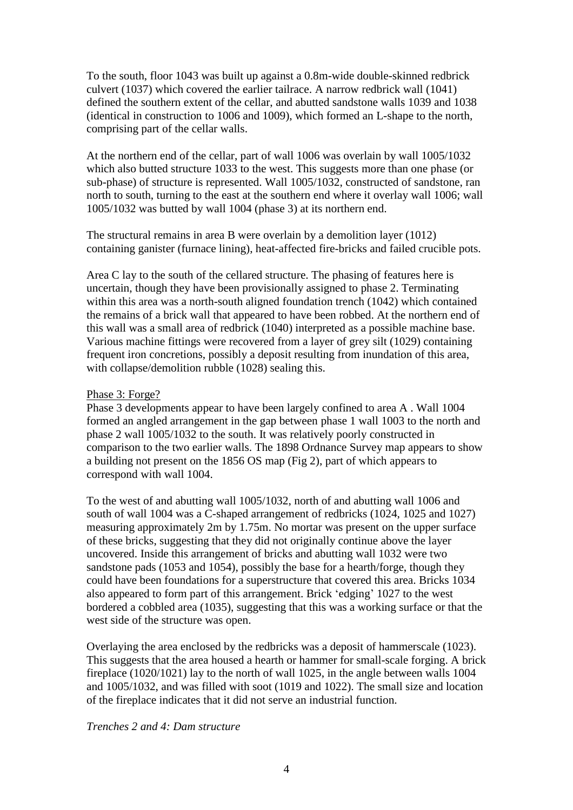To the south, floor 1043 was built up against a 0.8m-wide double-skinned redbrick culvert (1037) which covered the earlier tailrace. A narrow redbrick wall (1041) defined the southern extent of the cellar, and abutted sandstone walls 1039 and 1038 (identical in construction to 1006 and 1009), which formed an L-shape to the north, comprising part of the cellar walls.

At the northern end of the cellar, part of wall 1006 was overlain by wall 1005/1032 which also butted structure 1033 to the west. This suggests more than one phase (or sub-phase) of structure is represented. Wall 1005/1032, constructed of sandstone, ran north to south, turning to the east at the southern end where it overlay wall 1006; wall 1005/1032 was butted by wall 1004 (phase 3) at its northern end.

The structural remains in area B were overlain by a demolition layer (1012) containing ganister (furnace lining), heat-affected fire-bricks and failed crucible pots.

Area C lay to the south of the cellared structure. The phasing of features here is uncertain, though they have been provisionally assigned to phase 2. Terminating within this area was a north-south aligned foundation trench (1042) which contained the remains of a brick wall that appeared to have been robbed. At the northern end of this wall was a small area of redbrick (1040) interpreted as a possible machine base. Various machine fittings were recovered from a layer of grey silt (1029) containing frequent iron concretions, possibly a deposit resulting from inundation of this area, with collapse/demolition rubble (1028) sealing this.

## Phase 3: Forge?

Phase 3 developments appear to have been largely confined to area A . Wall 1004 formed an angled arrangement in the gap between phase 1 wall 1003 to the north and phase 2 wall 1005/1032 to the south. It was relatively poorly constructed in comparison to the two earlier walls. The 1898 Ordnance Survey map appears to show a building not present on the 1856 OS map (Fig 2), part of which appears to correspond with wall 1004.

To the west of and abutting wall 1005/1032, north of and abutting wall 1006 and south of wall 1004 was a C-shaped arrangement of redbricks (1024, 1025 and 1027) measuring approximately 2m by 1.75m. No mortar was present on the upper surface of these bricks, suggesting that they did not originally continue above the layer uncovered. Inside this arrangement of bricks and abutting wall 1032 were two sandstone pads (1053 and 1054), possibly the base for a hearth/forge, though they could have been foundations for a superstructure that covered this area. Bricks 1034 also appeared to form part of this arrangement. Brick 'edging' 1027 to the west bordered a cobbled area (1035), suggesting that this was a working surface or that the west side of the structure was open.

Overlaying the area enclosed by the redbricks was a deposit of hammerscale (1023). This suggests that the area housed a hearth or hammer for small-scale forging. A brick fireplace (1020/1021) lay to the north of wall 1025, in the angle between walls 1004 and 1005/1032, and was filled with soot (1019 and 1022). The small size and location of the fireplace indicates that it did not serve an industrial function.

## *Trenches 2 and 4: Dam structure*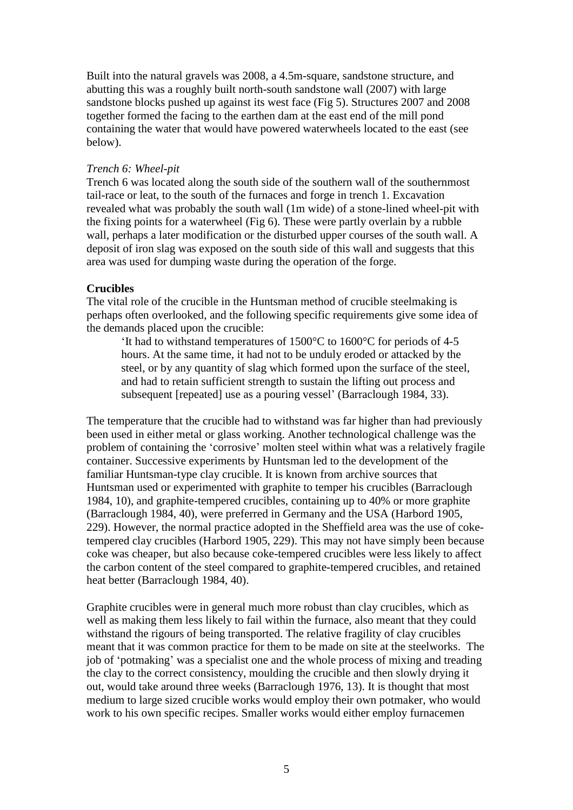Built into the natural gravels was 2008, a 4.5m-square, sandstone structure, and abutting this was a roughly built north-south sandstone wall (2007) with large sandstone blocks pushed up against its west face (Fig 5). Structures 2007 and 2008 together formed the facing to the earthen dam at the east end of the mill pond containing the water that would have powered waterwheels located to the east (see below).

### *Trench 6: Wheel-pit*

Trench 6 was located along the south side of the southern wall of the southernmost tail-race or leat, to the south of the furnaces and forge in trench 1. Excavation revealed what was probably the south wall (1m wide) of a stone-lined wheel-pit with the fixing points for a waterwheel (Fig 6). These were partly overlain by a rubble wall, perhaps a later modification or the disturbed upper courses of the south wall. A deposit of iron slag was exposed on the south side of this wall and suggests that this area was used for dumping waste during the operation of the forge.

### **Crucibles**

The vital role of the crucible in the Huntsman method of crucible steelmaking is perhaps often overlooked, and the following specific requirements give some idea of the demands placed upon the crucible:

'It had to withstand temperatures of 1500°C to 1600°C for periods of 4-5 hours. At the same time, it had not to be unduly eroded or attacked by the steel, or by any quantity of slag which formed upon the surface of the steel, and had to retain sufficient strength to sustain the lifting out process and subsequent [repeated] use as a pouring vessel' (Barraclough 1984, 33).

The temperature that the crucible had to withstand was far higher than had previously been used in either metal or glass working. Another technological challenge was the problem of containing the 'corrosive' molten steel within what was a relatively fragile container. Successive experiments by Huntsman led to the development of the familiar Huntsman-type clay crucible. It is known from archive sources that Huntsman used or experimented with graphite to temper his crucibles (Barraclough 1984, 10), and graphite-tempered crucibles, containing up to 40% or more graphite (Barraclough 1984, 40), were preferred in Germany and the USA (Harbord 1905, 229). However, the normal practice adopted in the Sheffield area was the use of coketempered clay crucibles (Harbord 1905, 229). This may not have simply been because coke was cheaper, but also because coke-tempered crucibles were less likely to affect the carbon content of the steel compared to graphite-tempered crucibles, and retained heat better (Barraclough 1984, 40).

Graphite crucibles were in general much more robust than clay crucibles, which as well as making them less likely to fail within the furnace, also meant that they could withstand the rigours of being transported. The relative fragility of clay crucibles meant that it was common practice for them to be made on site at the steelworks. The job of 'potmaking' was a specialist one and the whole process of mixing and treading the clay to the correct consistency, moulding the crucible and then slowly drying it out, would take around three weeks (Barraclough 1976, 13). It is thought that most medium to large sized crucible works would employ their own potmaker, who would work to his own specific recipes. Smaller works would either employ furnacemen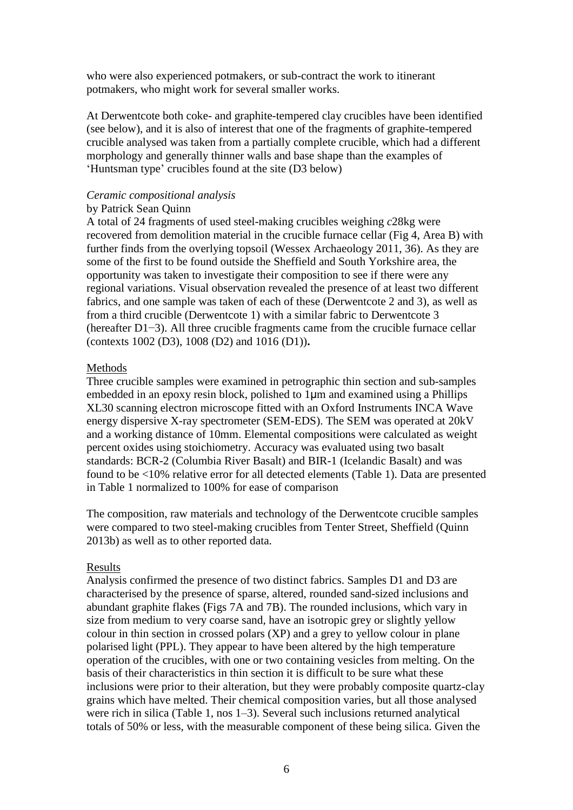who were also experienced potmakers, or sub-contract the work to itinerant potmakers, who might work for several smaller works.

At Derwentcote both coke- and graphite-tempered clay crucibles have been identified (see below), and it is also of interest that one of the fragments of graphite-tempered crucible analysed was taken from a partially complete crucible, which had a different morphology and generally thinner walls and base shape than the examples of 'Huntsman type' crucibles found at the site (D3 below)

#### *Ceramic compositional analysis*

### by Patrick Sean Quinn

A total of 24 fragments of used steel-making crucibles weighing *c*28kg were recovered from demolition material in the crucible furnace cellar (Fig 4, Area B) with further finds from the overlying topsoil (Wessex Archaeology 2011, 36). As they are some of the first to be found outside the Sheffield and South Yorkshire area, the opportunity was taken to investigate their composition to see if there were any regional variations. Visual observation revealed the presence of at least two different fabrics, and one sample was taken of each of these (Derwentcote 2 and 3), as well as from a third crucible (Derwentcote 1) with a similar fabric to Derwentcote 3 (hereafter D1−3). All three crucible fragments came from the crucible furnace cellar (contexts 1002 (D3), 1008 (D2) and 1016 (D1))**.**

### **Methods**

Three crucible samples were examined in petrographic thin section and sub-samples embedded in an epoxy resin block, polished to 1 $\mu$ m and examined using a Phillips XL30 scanning electron microscope fitted with an Oxford Instruments INCA Wave energy dispersive X-ray spectrometer (SEM-EDS). The SEM was operated at 20kV and a working distance of 10mm. Elemental compositions were calculated as weight percent oxides using stoichiometry. Accuracy was evaluated using two basalt standards: BCR-2 (Columbia River Basalt) and BIR-1 (Icelandic Basalt) and was found to be <10% relative error for all detected elements (Table 1). Data are presented in Table 1 normalized to 100% for ease of comparison

The composition, raw materials and technology of the Derwentcote crucible samples were compared to two steel-making crucibles from Tenter Street, Sheffield (Quinn 2013b) as well as to other reported data.

## Results

Analysis confirmed the presence of two distinct fabrics. Samples D1 and D3 are characterised by the presence of sparse, altered, rounded sand-sized inclusions and abundant graphite flakes (Figs 7A and 7B). The rounded inclusions, which vary in size from medium to very coarse sand, have an isotropic grey or slightly yellow colour in thin section in crossed polars (XP) and a grey to yellow colour in plane polarised light (PPL). They appear to have been altered by the high temperature operation of the crucibles, with one or two containing vesicles from melting. On the basis of their characteristics in thin section it is difficult to be sure what these inclusions were prior to their alteration, but they were probably composite quartz-clay grains which have melted. Their chemical composition varies, but all those analysed were rich in silica (Table 1, nos 1–3). Several such inclusions returned analytical totals of 50% or less, with the measurable component of these being silica. Given the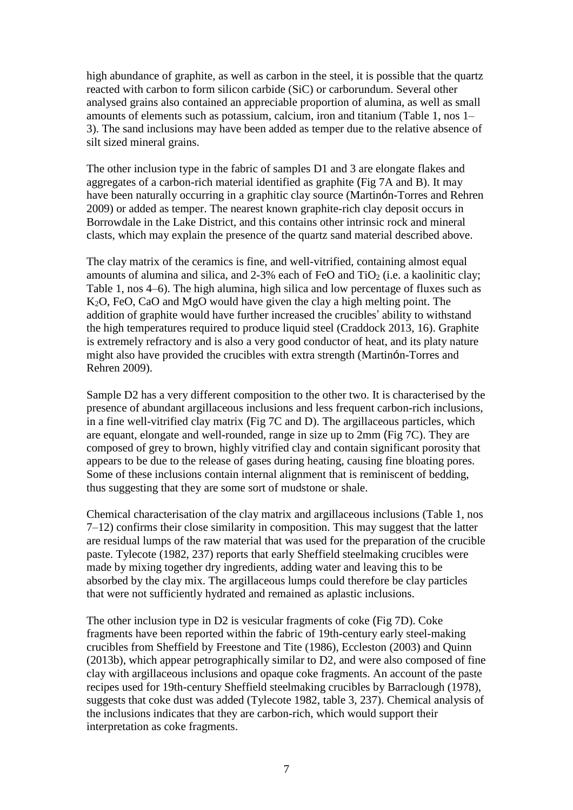high abundance of graphite, as well as carbon in the steel, it is possible that the quartz reacted with carbon to form silicon carbide (SiC) or carborundum. Several other analysed grains also contained an appreciable proportion of alumina, as well as small amounts of elements such as potassium, calcium, iron and titanium (Table 1, nos 1– 3). The sand inclusions may have been added as temper due to the relative absence of silt sized mineral grains.

The other inclusion type in the fabric of samples D1 and 3 are elongate flakes and aggregates of a carbon-rich material identified as graphite (Fig 7A and B). It may have been naturally occurring in a graphitic clay source (Martinón-Torres and Rehren 2009) or added as temper. The nearest known graphite-rich clay deposit occurs in Borrowdale in the Lake District, and this contains other intrinsic rock and mineral clasts, which may explain the presence of the quartz sand material described above.

The clay matrix of the ceramics is fine, and well-vitrified, containing almost equal amounts of alumina and silica, and  $2-3\%$  each of FeO and TiO<sub>2</sub> (i.e. a kaolinitic clay; Table 1, nos 4–6). The high alumina, high silica and low percentage of fluxes such as K2O, FeO, CaO and MgO would have given the clay a high melting point. The addition of graphite would have further increased the crucibles' ability to withstand the high temperatures required to produce liquid steel (Craddock 2013, 16). Graphite is extremely refractory and is also a very good conductor of heat, and its platy nature might also have provided the crucibles with extra strength (Martinón-Torres and Rehren 2009).

Sample D2 has a very different composition to the other two. It is characterised by the presence of abundant argillaceous inclusions and less frequent carbon-rich inclusions, in a fine well-vitrified clay matrix (Fig 7C and D). The argillaceous particles, which are equant, elongate and well-rounded, range in size up to 2mm (Fig 7C). They are composed of grey to brown, highly vitrified clay and contain significant porosity that appears to be due to the release of gases during heating, causing fine bloating pores. Some of these inclusions contain internal alignment that is reminiscent of bedding, thus suggesting that they are some sort of mudstone or shale.

Chemical characterisation of the clay matrix and argillaceous inclusions (Table 1, nos 7–12) confirms their close similarity in composition. This may suggest that the latter are residual lumps of the raw material that was used for the preparation of the crucible paste. Tylecote (1982, 237) reports that early Sheffield steelmaking crucibles were made by mixing together dry ingredients, adding water and leaving this to be absorbed by the clay mix. The argillaceous lumps could therefore be clay particles that were not sufficiently hydrated and remained as aplastic inclusions.

The other inclusion type in D2 is vesicular fragments of coke (Fig 7D). Coke fragments have been reported within the fabric of 19th-century early steel-making crucibles from Sheffield by Freestone and Tite (1986), Eccleston (2003) and Quinn (2013b), which appear petrographically similar to D2, and were also composed of fine clay with argillaceous inclusions and opaque coke fragments. An account of the paste recipes used for 19th-century Sheffield steelmaking crucibles by Barraclough (1978), suggests that coke dust was added (Tylecote 1982, table 3, 237). Chemical analysis of the inclusions indicates that they are carbon-rich, which would support their interpretation as coke fragments.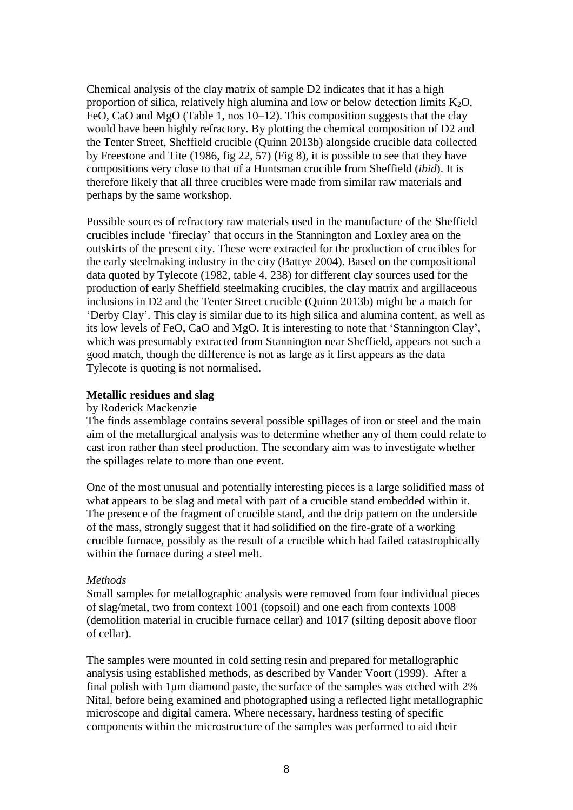Chemical analysis of the clay matrix of sample D2 indicates that it has a high proportion of silica, relatively high alumina and low or below detection limits  $K_2O$ , FeO, CaO and MgO (Table 1, nos 10–12). This composition suggests that the clay would have been highly refractory. By plotting the chemical composition of D2 and the Tenter Street, Sheffield crucible (Quinn 2013b) alongside crucible data collected by Freestone and Tite (1986, fig 22, 57) (Fig 8), it is possible to see that they have compositions very close to that of a Huntsman crucible from Sheffield (*ibid*). It is therefore likely that all three crucibles were made from similar raw materials and perhaps by the same workshop.

Possible sources of refractory raw materials used in the manufacture of the Sheffield crucibles include 'fireclay' that occurs in the Stannington and Loxley area on the outskirts of the present city. These were extracted for the production of crucibles for the early steelmaking industry in the city (Battye 2004). Based on the compositional data quoted by Tylecote (1982, table 4, 238) for different clay sources used for the production of early Sheffield steelmaking crucibles, the clay matrix and argillaceous inclusions in D2 and the Tenter Street crucible (Quinn 2013b) might be a match for 'Derby Clay'. This clay is similar due to its high silica and alumina content, as well as its low levels of FeO, CaO and MgO. It is interesting to note that 'Stannington Clay', which was presumably extracted from Stannington near Sheffield, appears not such a good match, though the difference is not as large as it first appears as the data Tylecote is quoting is not normalised.

## **Metallic residues and slag**

#### by Roderick Mackenzie

The finds assemblage contains several possible spillages of iron or steel and the main aim of the metallurgical analysis was to determine whether any of them could relate to cast iron rather than steel production. The secondary aim was to investigate whether the spillages relate to more than one event.

One of the most unusual and potentially interesting pieces is a large solidified mass of what appears to be slag and metal with part of a crucible stand embedded within it. The presence of the fragment of crucible stand, and the drip pattern on the underside of the mass, strongly suggest that it had solidified on the fire-grate of a working crucible furnace, possibly as the result of a crucible which had failed catastrophically within the furnace during a steel melt.

#### *Methods*

Small samples for metallographic analysis were removed from four individual pieces of slag/metal, two from context 1001 (topsoil) and one each from contexts 1008 (demolition material in crucible furnace cellar) and 1017 (silting deposit above floor of cellar).

The samples were mounted in cold setting resin and prepared for metallographic analysis using established methods, as described by Vander Voort (1999). After a final polish with 1μm diamond paste, the surface of the samples was etched with 2% Nital, before being examined and photographed using a reflected light metallographic microscope and digital camera. Where necessary, hardness testing of specific components within the microstructure of the samples was performed to aid their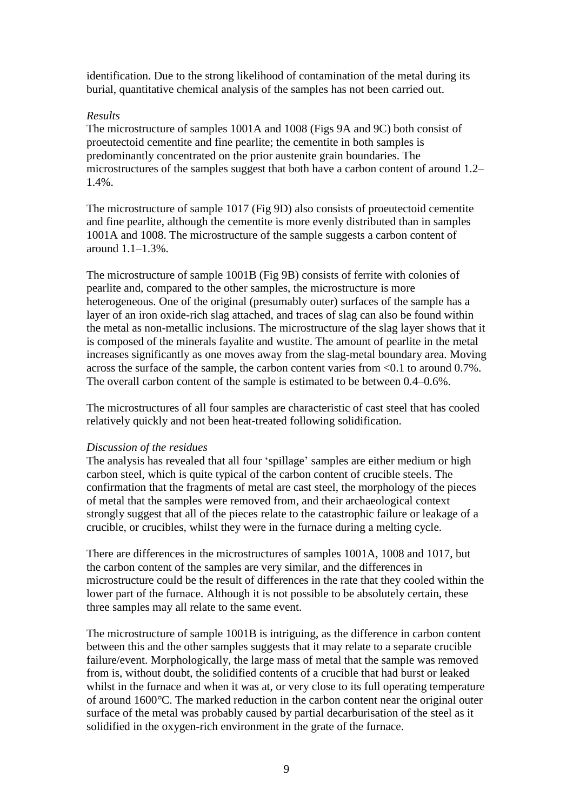identification. Due to the strong likelihood of contamination of the metal during its burial, quantitative chemical analysis of the samples has not been carried out.

### *Results*

The microstructure of samples 1001A and 1008 (Figs 9A and 9C) both consist of proeutectoid cementite and fine pearlite; the cementite in both samples is predominantly concentrated on the prior austenite grain boundaries. The microstructures of the samples suggest that both have a carbon content of around 1.2– 1.4%.

The microstructure of sample 1017 (Fig 9D) also consists of proeutectoid cementite and fine pearlite, although the cementite is more evenly distributed than in samples 1001A and 1008. The microstructure of the sample suggests a carbon content of around 1.1–1.3%.

The microstructure of sample 1001B (Fig 9B) consists of ferrite with colonies of pearlite and, compared to the other samples, the microstructure is more heterogeneous. One of the original (presumably outer) surfaces of the sample has a layer of an iron oxide-rich slag attached, and traces of slag can also be found within the metal as non-metallic inclusions. The microstructure of the slag layer shows that it is composed of the minerals fayalite and wustite. The amount of pearlite in the metal increases significantly as one moves away from the slag-metal boundary area. Moving across the surface of the sample, the carbon content varies from <0.1 to around 0.7%. The overall carbon content of the sample is estimated to be between 0.4–0.6%.

The microstructures of all four samples are characteristic of cast steel that has cooled relatively quickly and not been heat-treated following solidification.

#### *Discussion of the residues*

The analysis has revealed that all four 'spillage' samples are either medium or high carbon steel, which is quite typical of the carbon content of crucible steels. The confirmation that the fragments of metal are cast steel, the morphology of the pieces of metal that the samples were removed from, and their archaeological context strongly suggest that all of the pieces relate to the catastrophic failure or leakage of a crucible, or crucibles, whilst they were in the furnace during a melting cycle.

There are differences in the microstructures of samples 1001A, 1008 and 1017, but the carbon content of the samples are very similar, and the differences in microstructure could be the result of differences in the rate that they cooled within the lower part of the furnace. Although it is not possible to be absolutely certain, these three samples may all relate to the same event.

The microstructure of sample 1001B is intriguing, as the difference in carbon content between this and the other samples suggests that it may relate to a separate crucible failure/event. Morphologically, the large mass of metal that the sample was removed from is, without doubt, the solidified contents of a crucible that had burst or leaked whilst in the furnace and when it was at, or very close to its full operating temperature of around 1600*°*C. The marked reduction in the carbon content near the original outer surface of the metal was probably caused by partial decarburisation of the steel as it solidified in the oxygen-rich environment in the grate of the furnace.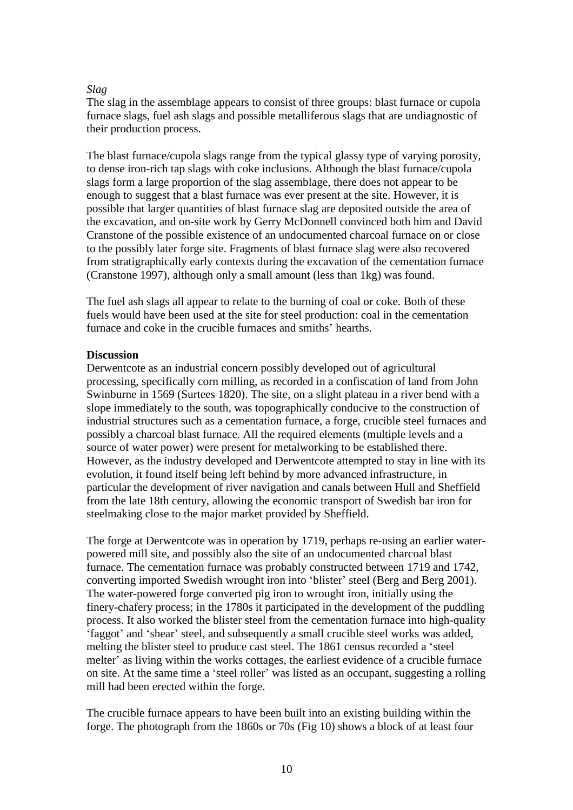## *Slag*

The slag in the assemblage appears to consist of three groups: blast furnace or cupola furnace slags, fuel ash slags and possible metalliferous slags that are undiagnostic of their production process.

The blast furnace/cupola slags range from the typical glassy type of varying porosity, to dense iron-rich tap slags with coke inclusions. Although the blast furnace/cupola slags form a large proportion of the slag assemblage, there does not appear to be enough to suggest that a blast furnace was ever present at the site. However, it is possible that larger quantities of blast furnace slag are deposited outside the area of the excavation, and on-site work by Gerry McDonnell convinced both him and David Cranstone of the possible existence of an undocumented charcoal furnace on or close to the possibly later forge site. Fragments of blast furnace slag were also recovered from stratigraphically early contexts during the excavation of the cementation furnace (Cranstone 1997), although only a small amount (less than 1kg) was found.

The fuel ash slags all appear to relate to the burning of coal or coke. Both of these fuels would have been used at the site for steel production: coal in the cementation furnace and coke in the crucible furnaces and smiths' hearths.

### **Discussion**

Derwentcote as an industrial concern possibly developed out of agricultural processing, specifically corn milling, as recorded in a confiscation of land from John Swinburne in 1569 (Surtees 1820). The site, on a slight plateau in a river bend with a slope immediately to the south, was topographically conducive to the construction of industrial structures such as a cementation furnace, a forge, crucible steel furnaces and possibly a charcoal blast furnace. All the required elements (multiple levels and a source of water power) were present for metalworking to be established there. However, as the industry developed and Derwentcote attempted to stay in line with its evolution, it found itself being left behind by more advanced infrastructure, in particular the development of river navigation and canals between Hull and Sheffield from the late 18th century, allowing the economic transport of Swedish bar iron for steelmaking close to the major market provided by Sheffield.

The forge at Derwentcote was in operation by 1719, perhaps re-using an earlier waterpowered mill site, and possibly also the site of an undocumented charcoal blast furnace. The cementation furnace was probably constructed between 1719 and 1742, converting imported Swedish wrought iron into 'blister' steel (Berg and Berg 2001). The water-powered forge converted pig iron to wrought iron, initially using the finery-chafery process; in the 1780s it participated in the development of the puddling process. It also worked the blister steel from the cementation furnace into high-quality 'faggot' and 'shear' steel, and subsequently a small crucible steel works was added, melting the blister steel to produce cast steel. The 1861 census recorded a 'steel melter' as living within the works cottages, the earliest evidence of a crucible furnace on site. At the same time a 'steel roller' was listed as an occupant, suggesting a rolling mill had been erected within the forge.

The crucible furnace appears to have been built into an existing building within the forge. The photograph from the 1860s or 70s (Fig 10) shows a block of at least four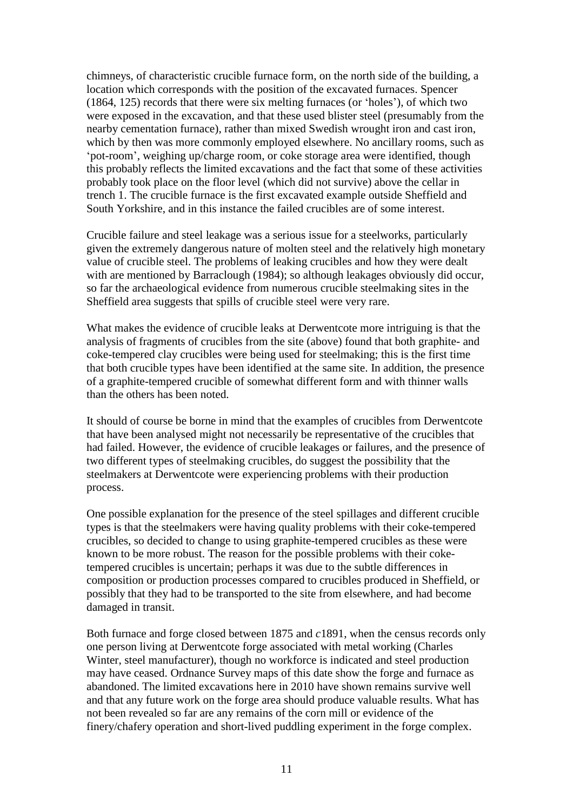chimneys, of characteristic crucible furnace form, on the north side of the building, a location which corresponds with the position of the excavated furnaces. Spencer (1864, 125) records that there were six melting furnaces (or 'holes'), of which two were exposed in the excavation, and that these used blister steel (presumably from the nearby cementation furnace), rather than mixed Swedish wrought iron and cast iron, which by then was more commonly employed elsewhere. No ancillary rooms, such as 'pot-room', weighing up/charge room, or coke storage area were identified, though this probably reflects the limited excavations and the fact that some of these activities probably took place on the floor level (which did not survive) above the cellar in trench 1. The crucible furnace is the first excavated example outside Sheffield and South Yorkshire, and in this instance the failed crucibles are of some interest.

Crucible failure and steel leakage was a serious issue for a steelworks, particularly given the extremely dangerous nature of molten steel and the relatively high monetary value of crucible steel. The problems of leaking crucibles and how they were dealt with are mentioned by Barraclough (1984); so although leakages obviously did occur, so far the archaeological evidence from numerous crucible steelmaking sites in the Sheffield area suggests that spills of crucible steel were very rare.

What makes the evidence of crucible leaks at Derwentcote more intriguing is that the analysis of fragments of crucibles from the site (above) found that both graphite- and coke-tempered clay crucibles were being used for steelmaking; this is the first time that both crucible types have been identified at the same site. In addition, the presence of a graphite-tempered crucible of somewhat different form and with thinner walls than the others has been noted.

It should of course be borne in mind that the examples of crucibles from Derwentcote that have been analysed might not necessarily be representative of the crucibles that had failed. However, the evidence of crucible leakages or failures, and the presence of two different types of steelmaking crucibles, do suggest the possibility that the steelmakers at Derwentcote were experiencing problems with their production process.

One possible explanation for the presence of the steel spillages and different crucible types is that the steelmakers were having quality problems with their coke-tempered crucibles, so decided to change to using graphite-tempered crucibles as these were known to be more robust. The reason for the possible problems with their coketempered crucibles is uncertain; perhaps it was due to the subtle differences in composition or production processes compared to crucibles produced in Sheffield, or possibly that they had to be transported to the site from elsewhere, and had become damaged in transit.

Both furnace and forge closed between 1875 and *c*1891, when the census records only one person living at Derwentcote forge associated with metal working (Charles Winter, steel manufacturer), though no workforce is indicated and steel production may have ceased. Ordnance Survey maps of this date show the forge and furnace as abandoned. The limited excavations here in 2010 have shown remains survive well and that any future work on the forge area should produce valuable results. What has not been revealed so far are any remains of the corn mill or evidence of the finery/chafery operation and short-lived puddling experiment in the forge complex.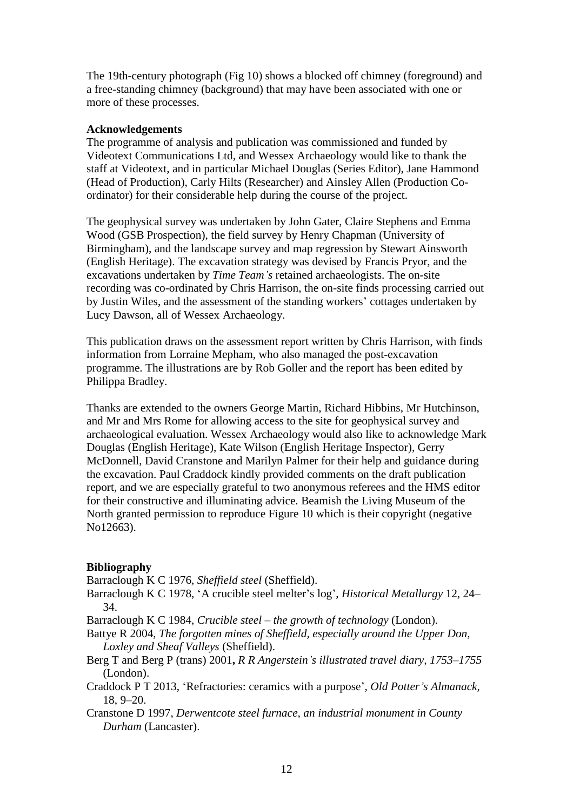The 19th-century photograph (Fig 10) shows a blocked off chimney (foreground) and a free-standing chimney (background) that may have been associated with one or more of these processes.

## **Acknowledgements**

The programme of analysis and publication was commissioned and funded by Videotext Communications Ltd, and Wessex Archaeology would like to thank the staff at Videotext, and in particular Michael Douglas (Series Editor), Jane Hammond (Head of Production), Carly Hilts (Researcher) and Ainsley Allen (Production Coordinator) for their considerable help during the course of the project.

The geophysical survey was undertaken by John Gater, Claire Stephens and Emma Wood (GSB Prospection), the field survey by Henry Chapman (University of Birmingham), and the landscape survey and map regression by Stewart Ainsworth (English Heritage). The excavation strategy was devised by Francis Pryor, and the excavations undertaken by *Time Team's* retained archaeologists. The on-site recording was co-ordinated by Chris Harrison, the on-site finds processing carried out by Justin Wiles, and the assessment of the standing workers' cottages undertaken by Lucy Dawson, all of Wessex Archaeology.

This publication draws on the assessment report written by Chris Harrison, with finds information from Lorraine Mepham, who also managed the post-excavation programme. The illustrations are by Rob Goller and the report has been edited by Philippa Bradley.

Thanks are extended to the owners George Martin, Richard Hibbins, Mr Hutchinson, and Mr and Mrs Rome for allowing access to the site for geophysical survey and archaeological evaluation. Wessex Archaeology would also like to acknowledge Mark Douglas (English Heritage), Kate Wilson (English Heritage Inspector), Gerry McDonnell, David Cranstone and Marilyn Palmer for their help and guidance during the excavation. Paul Craddock kindly provided comments on the draft publication report, and we are especially grateful to two anonymous referees and the HMS editor for their constructive and illuminating advice. Beamish the Living Museum of the North granted permission to reproduce Figure 10 which is their copyright (negative No12663).

## **Bibliography**

Barraclough K C 1976, *Sheffield steel* (Sheffield).

Barraclough K C 1978, 'A crucible steel melter's log', *Historical Metallurgy* 12, 24– 34.

Barraclough K C 1984, *Crucible steel – the growth of technology* (London).

- Battye R 2004, *The forgotten mines of Sheffield, especially around the Upper Don, Loxley and Sheaf Valleys* (Sheffield).
- Berg T and Berg P (trans) 2001**,** *R R Angerstein's illustrated travel diary, 1753–1755* (London).
- Craddock P T 2013, 'Refractories: ceramics with a purpose', *Old Potter's Almanack,* 18, 9–20.
- Cranstone D 1997, *Derwentcote steel furnace, an industrial monument in County Durham* (Lancaster).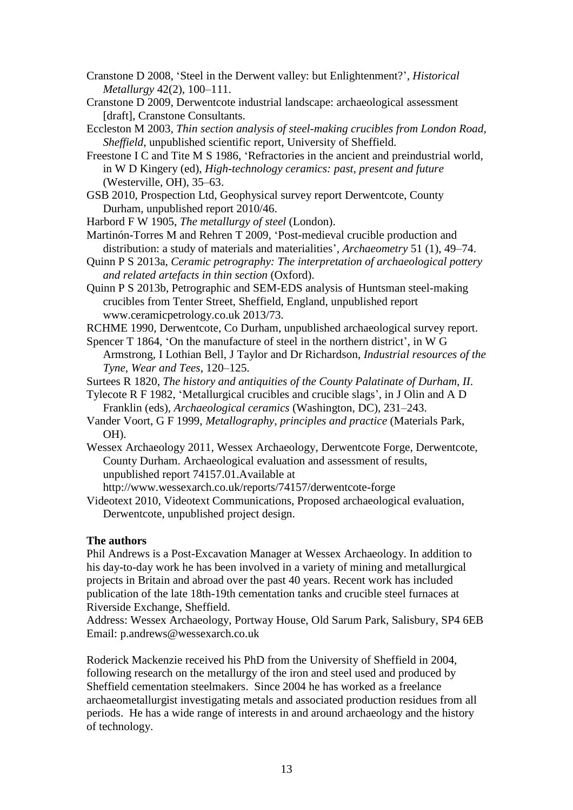- Cranstone D 2008, 'Steel in the Derwent valley: but Enlightenment?', *Historical Metallurgy* 42(2), 100–111.
- Cranstone D 2009, Derwentcote industrial landscape: archaeological assessment [draft], Cranstone Consultants.
- Eccleston M 2003, *Thin section analysis of steel-making crucibles from London Road, Sheffield*, unpublished scientific report, University of Sheffield.
- Freestone I C and Tite M S 1986, 'Refractories in the ancient and preindustrial world, in W D Kingery (ed), *High-technology ceramics: past, present and future* (Westerville, OH), 35–63.
- GSB 2010, Prospection Ltd, Geophysical survey report Derwentcote, County Durham, unpublished report 2010/46.
- Harbord F W 1905, *The metallurgy of steel* (London).
- Martinón-Torres M and Rehren T 2009, 'Post-medieval crucible production and distribution: a study of materials and materialities', *Archaeometry* 51 (1), 49–74.
- Quinn P S 2013a, *Ceramic petrography: The interpretation of archaeological pottery and related artefacts in thin section* (Oxford).
- Quinn P S 2013b, Petrographic and SEM-EDS analysis of Huntsman steel-making crucibles from Tenter Street, Sheffield, England, unpublished report www.ceramicpetrology.co.uk 2013/73.
- RCHME 1990, Derwentcote, Co Durham, unpublished archaeological survey report.
- Spencer T 1864, 'On the manufacture of steel in the northern district', in W G Armstrong, I Lothian Bell, J Taylor and Dr Richardson, *Industrial resources of the Tyne, Wear and Tees*, 120–125.

Surtees R 1820, *The history and antiquities of the County Palatinate of Durham, II*.

- Tylecote R F 1982, 'Metallurgical crucibles and crucible slags', in J Olin and A D Franklin (eds), *Archaeological ceramics* (Washington, DC), 231–243.
- Vander Voort, G F 1999, *Metallography, principles and practice* (Materials Park, OH).
- Wessex Archaeology 2011, Wessex Archaeology, Derwentcote Forge, Derwentcote, County Durham. Archaeological evaluation and assessment of results, unpublished report 74157.01.Available at http://www.wessexarch.co.uk/reports/74157/derwentcote-forge
- Videotext 2010, Videotext Communications, Proposed archaeological evaluation, Derwentcote, unpublished project design.

#### **The authors**

Phil Andrews is a Post-Excavation Manager at Wessex Archaeology. In addition to his day-to-day work he has been involved in a variety of mining and metallurgical projects in Britain and abroad over the past 40 years. Recent work has included publication of the late 18th-19th cementation tanks and crucible steel furnaces at Riverside Exchange, Sheffield.

Address: Wessex Archaeology, Portway House, Old Sarum Park, Salisbury, SP4 6EB Email: p.andrews@wessexarch.co.uk

Roderick Mackenzie received his PhD from the University of Sheffield in 2004, following research on the metallurgy of the iron and steel used and produced by Sheffield cementation steelmakers. Since 2004 he has worked as a freelance archaeometallurgist investigating metals and associated production residues from all periods. He has a wide range of interests in and around archaeology and the history of technology.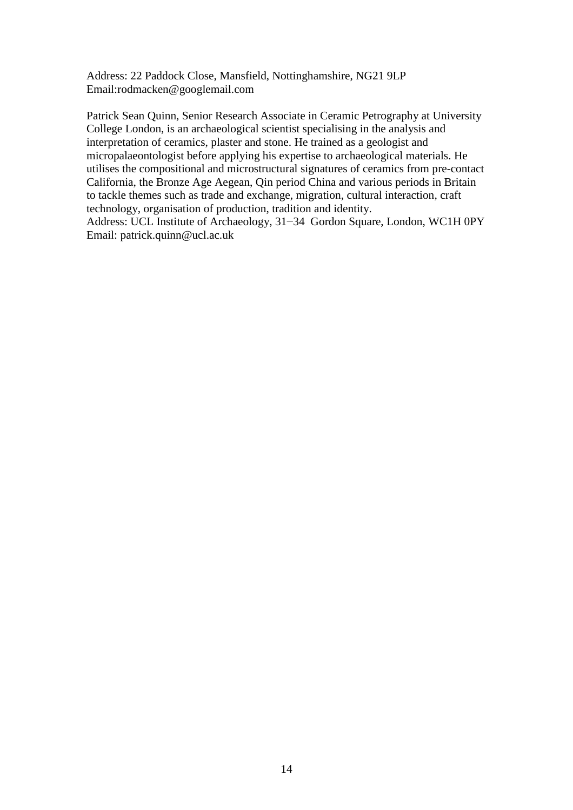Address: 22 Paddock Close, Mansfield, Nottinghamshire, NG21 9LP Email:rodmacken@googlemail.com

Patrick Sean Quinn, Senior Research Associate in Ceramic Petrography at University College London, is an archaeological scientist specialising in the analysis and interpretation of ceramics, plaster and stone. He trained as a geologist and micropalaeontologist before applying his expertise to archaeological materials. He utilises the compositional and microstructural signatures of ceramics from pre-contact California, the Bronze Age Aegean, Qin period China and various periods in Britain to tackle themes such as trade and exchange, migration, cultural interaction, craft technology, organisation of production, tradition and identity.

Address: UCL Institute of Archaeology, 31−34 Gordon Square, London, WC1H 0PY Email: patrick.quinn@ucl.ac.uk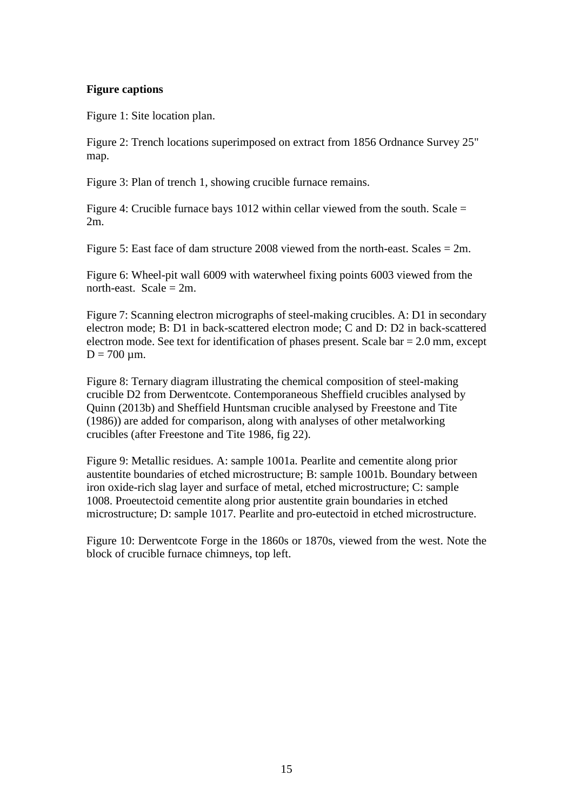### **Figure captions**

Figure 1: Site location plan.

Figure 2: Trench locations superimposed on extract from 1856 Ordnance Survey 25" map.

Figure 3: Plan of trench 1, showing crucible furnace remains.

Figure 4: Crucible furnace bays 1012 within cellar viewed from the south. Scale = 2m.

Figure 5: East face of dam structure 2008 viewed from the north-east. Scales = 2m.

Figure 6: Wheel-pit wall 6009 with waterwheel fixing points 6003 viewed from the north-east. Scale  $= 2m$ .

Figure 7: Scanning electron micrographs of steel-making crucibles. A: D1 in secondary electron mode; B: D1 in back-scattered electron mode; C and D: D2 in back-scattered electron mode. See text for identification of phases present. Scale bar = 2.0 mm, except  $D = 700 \mu m$ .

Figure 8: Ternary diagram illustrating the chemical composition of steel-making crucible D2 from Derwentcote. Contemporaneous Sheffield crucibles analysed by Quinn (2013b) and Sheffield Huntsman crucible analysed by Freestone and Tite (1986)) are added for comparison, along with analyses of other metalworking crucibles (after Freestone and Tite 1986, fig 22).

Figure 9: Metallic residues. A: sample 1001a. Pearlite and cementite along prior austentite boundaries of etched microstructure; B: sample 1001b. Boundary between iron oxide-rich slag layer and surface of metal, etched microstructure; C: sample 1008. Proeutectoid cementite along prior austentite grain boundaries in etched microstructure; D: sample 1017. Pearlite and pro-eutectoid in etched microstructure.

Figure 10: Derwentcote Forge in the 1860s or 1870s, viewed from the west. Note the block of crucible furnace chimneys, top left.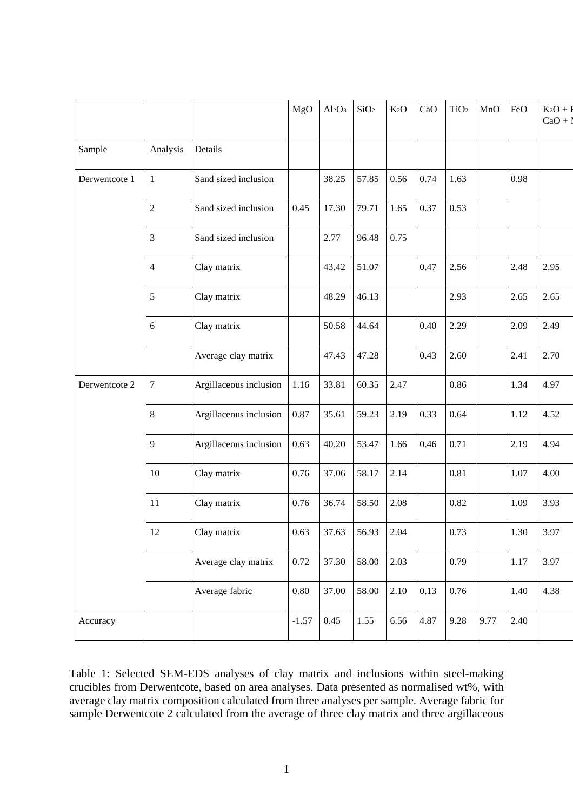|               |                |                        | MgO      | $Al_2O_3$ | SiO <sub>2</sub> | K <sub>2</sub> O | CaO  | TiO <sub>2</sub> | MnO  | FeO  | $K_2O + F$<br>$CaO + I$ |
|---------------|----------------|------------------------|----------|-----------|------------------|------------------|------|------------------|------|------|-------------------------|
| Sample        | Analysis       | Details                |          |           |                  |                  |      |                  |      |      |                         |
| Derwentcote 1 | $\mathbf{1}$   | Sand sized inclusion   |          | 38.25     | 57.85            | 0.56             | 0.74 | 1.63             |      | 0.98 |                         |
|               | $\overline{2}$ | Sand sized inclusion   | 0.45     | 17.30     | 79.71            | 1.65             | 0.37 | 0.53             |      |      |                         |
|               | 3              | Sand sized inclusion   |          | 2.77      | 96.48            | 0.75             |      |                  |      |      |                         |
|               | $\overline{4}$ | Clay matrix            |          | 43.42     | 51.07            |                  | 0.47 | 2.56             |      | 2.48 | 2.95                    |
|               | 5              | Clay matrix            |          | 48.29     | 46.13            |                  |      | 2.93             |      | 2.65 | 2.65                    |
|               | 6              | Clay matrix            |          | 50.58     | 44.64            |                  | 0.40 | 2.29             |      | 2.09 | 2.49                    |
|               |                | Average clay matrix    |          | 47.43     | 47.28            |                  | 0.43 | 2.60             |      | 2.41 | 2.70                    |
| Derwentcote 2 | $\sqrt{ }$     | Argillaceous inclusion | 1.16     | 33.81     | 60.35            | 2.47             |      | 0.86             |      | 1.34 | 4.97                    |
|               | 8              | Argillaceous inclusion | 0.87     | 35.61     | 59.23            | 2.19             | 0.33 | 0.64             |      | 1.12 | 4.52                    |
|               | 9              | Argillaceous inclusion | 0.63     | 40.20     | 53.47            | 1.66             | 0.46 | 0.71             |      | 2.19 | 4.94                    |
|               | 10             | Clay matrix            | $0.76\,$ | 37.06     | 58.17            | 2.14             |      | 0.81             |      | 1.07 | 4.00                    |
|               | 11             | Clay matrix            | 0.76     | 36.74     | 58.50            | 2.08             |      | 0.82             |      | 1.09 | 3.93                    |
|               | 12             | Clay matrix            | 0.63     | 37.63     | 56.93            | 2.04             |      | 0.73             |      | 1.30 | 3.97                    |
|               |                | Average clay matrix    | 0.72     | 37.30     | 58.00            | 2.03             |      | 0.79             |      | 1.17 | 3.97                    |
|               |                | Average fabric         | 0.80     | 37.00     | 58.00            | 2.10             | 0.13 | 0.76             |      | 1.40 | 4.38                    |
| Accuracy      |                |                        | $-1.57$  | 0.45      | 1.55             | 6.56             | 4.87 | 9.28             | 9.77 | 2.40 |                         |

Table 1: Selected SEM-EDS analyses of clay matrix and inclusions within steel-making crucibles from Derwentcote, based on area analyses. Data presented as normalised wt%, with average clay matrix composition calculated from three analyses per sample. Average fabric for sample Derwentcote 2 calculated from the average of three clay matrix and three argillaceous